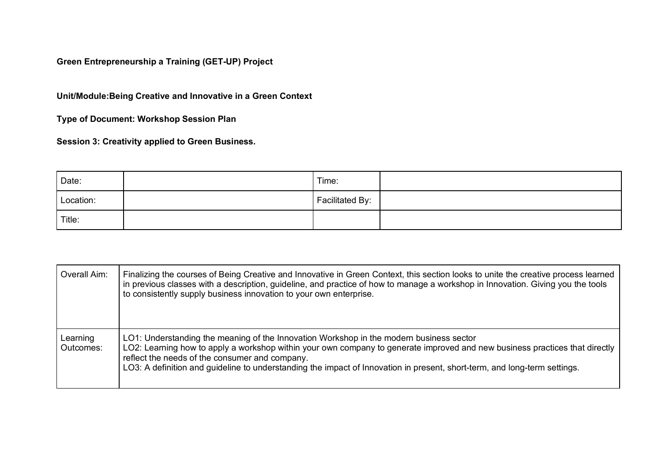**Green Entrepreneurship a Training (GET-UP) Project**

**Unit/Module:Being Creative and Innovative in a Green Context**

**Type of Document: Workshop Session Plan**

**Session 3: Creativity applied to Green Business.**

| Date:     | Time:           |  |
|-----------|-----------------|--|
| Location: | Facilitated By: |  |
| Title:    |                 |  |

| Overall Aim:          | Finalizing the courses of Being Creative and Innovative in Green Context, this section looks to unite the creative process learned<br>in previous classes with a description, guideline, and practice of how to manage a workshop in Innovation. Giving you the tools<br>to consistently supply business innovation to your own enterprise.                                                           |
|-----------------------|-------------------------------------------------------------------------------------------------------------------------------------------------------------------------------------------------------------------------------------------------------------------------------------------------------------------------------------------------------------------------------------------------------|
| Learning<br>Outcomes: | LO1: Understanding the meaning of the Innovation Workshop in the modern business sector<br>LO2: Learning how to apply a workshop within your own company to generate improved and new business practices that directly<br>reflect the needs of the consumer and company.<br>LO3: A definition and guideline to understanding the impact of Innovation in present, short-term, and long-term settings. |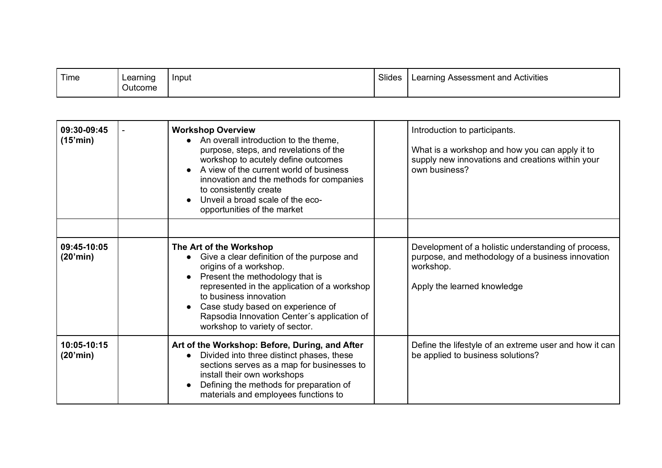| Time | Learning<br>∽<br>Outcome | ' Input | Slides | Learning Assessment and Activities |
|------|--------------------------|---------|--------|------------------------------------|
|------|--------------------------|---------|--------|------------------------------------|

| 09:30-09:45<br>(15'min) | <b>Workshop Overview</b><br>An overall introduction to the theme,<br>$\bullet$<br>purpose, steps, and revelations of the<br>workshop to acutely define outcomes<br>A view of the current world of business<br>innovation and the methods for companies<br>to consistently create<br>Unveil a broad scale of the eco-<br>opportunities of the market | Introduction to participants.<br>What is a workshop and how you can apply it to<br>supply new innovations and creations within your<br>own business? |
|-------------------------|-----------------------------------------------------------------------------------------------------------------------------------------------------------------------------------------------------------------------------------------------------------------------------------------------------------------------------------------------------|------------------------------------------------------------------------------------------------------------------------------------------------------|
| 09:45-10:05<br>(20'min) | The Art of the Workshop<br>Give a clear definition of the purpose and<br>origins of a workshop.<br>Present the methodology that is<br>represented in the application of a workshop<br>to business innovation<br>Case study based on experience of<br>Rapsodia Innovation Center's application of<br>workshop to variety of sector.                  | Development of a holistic understanding of process,<br>purpose, and methodology of a business innovation<br>workshop.<br>Apply the learned knowledge |
| 10:05-10:15<br>(20'min) | Art of the Workshop: Before, During, and After<br>Divided into three distinct phases, these<br>$\bullet$<br>sections serves as a map for businesses to<br>install their own workshops<br>Defining the methods for preparation of<br>materials and employees functions to                                                                            | Define the lifestyle of an extreme user and how it can<br>be applied to business solutions?                                                          |